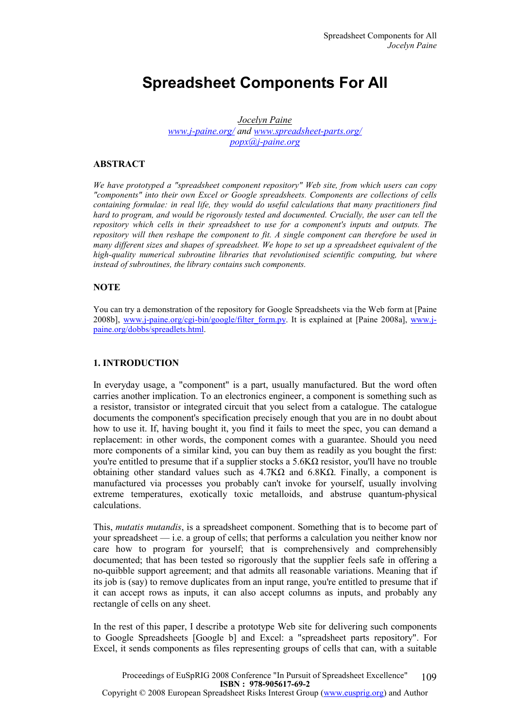# Spreadsheet Components For All

Jocelyn Paine www.j-paine.org/ and www.spreadsheet-parts.org/ popx@j-paine.org

## ABSTRACT

We have prototyped a "spreadsheet component repository" Web site, from which users can copy "components" into their own Excel or Google spreadsheets. Components are collections of cells containing formulae: in real life, they would do useful calculations that many practitioners find hard to program, and would be rigorously tested and documented. Crucially, the user can tell the repository which cells in their spreadsheet to use for a component's inputs and outputs. The repository will then reshape the component to fit. A single component can therefore be used in many different sizes and shapes of spreadsheet. We hope to set up a spreadsheet equivalent of the high-quality numerical subroutine libraries that revolutionised scientific computing, but where instead of subroutines, the library contains such components.

## **NOTE**

You can try a demonstration of the repository for Google Spreadsheets via the Web form at [Paine 2008b], www.j-paine.org/cgi-bin/google/filter\_form.py. It is explained at [Paine 2008a], www.jpaine.org/dobbs/spreadlets.html.

## 1. INTRODUCTION

In everyday usage, a "component" is a part, usually manufactured. But the word often carries another implication. To an electronics engineer, a component is something such as a resistor, transistor or integrated circuit that you select from a catalogue. The catalogue documents the component's specification precisely enough that you are in no doubt about how to use it. If, having bought it, you find it fails to meet the spec, you can demand a replacement: in other words, the component comes with a guarantee. Should you need more components of a similar kind, you can buy them as readily as you bought the first: you're entitled to presume that if a supplier stocks a  $5.6KΩ$  resistor, you'll have no trouble obtaining other standard values such as  $4.7K\Omega$  and  $6.8K\Omega$ . Finally, a component is manufactured via processes you probably can't invoke for yourself, usually involving extreme temperatures, exotically toxic metalloids, and abstruse quantum-physical calculations.

This, mutatis mutandis, is a spreadsheet component. Something that is to become part of your spreadsheet — i.e. a group of cells; that performs a calculation you neither know nor care how to program for yourself; that is comprehensively and comprehensibly documented; that has been tested so rigorously that the supplier feels safe in offering a no-quibble support agreement; and that admits all reasonable variations. Meaning that if its job is (say) to remove duplicates from an input range, you're entitled to presume that if it can accept rows as inputs, it can also accept columns as inputs, and probably any rectangle of cells on any sheet.

In the rest of this paper, I describe a prototype Web site for delivering such components to Google Spreadsheets [Google b] and Excel: a "spreadsheet parts repository". For Excel, it sends components as files representing groups of cells that can, with a suitable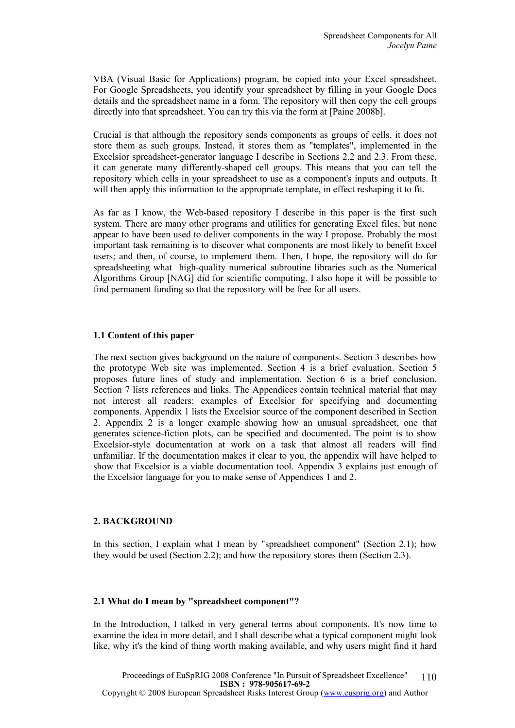VBA (Visual Basic for Applications) program, be copied into your Excel spreadsheet. For Google Spreadsheets, you identify your spreadsheet by filling in your Google Docs details and the spreadsheet name in a form. The repository will then copy the cell groups directly into that spreadsheet. You can try this via the form at [Paine 2008b].

Crucial is that although the repository sends components as groups of cells, it does not store them as such groups. Instead, it stores them as "templates", implemented in the Excelsior spreadsheet-generator language I describe in Sections 2.2 and 2.3. From these, it can generate many differently-shaped cell groups. This means that you can tell the repository which cells in your spreadsheet to use as a component's inputs and outputs. It will then apply this information to the appropriate template, in effect reshaping it to fit.

As far as I know, the Web-based repository I describe in this paper is the first such system. There are many other programs and utilities for generating Excel files, but none appear to have been used to deliver components in the way I propose. Probably the most important task remaining is to discover what components are most likely to benefit Excel users; and then, of course, to implement them. Then, I hope, the repository will do for spreadsheeting what high-quality numerical subroutine libraries such as the Numerical Algorithms Group [NAG] did for scientific computing. I also hope it will be possible to find permanent funding so that the repository will be free for all users.

#### 1.1 Content of this paper

The next section gives background on the nature of components. Section 3 describes how the prototype Web site was implemented. Section 4 is a brief evaluation. Section 5 proposes future lines of study and implementation. Section 6 is a brief conclusion. Section 7 lists references and links. The Appendices contain technical material that may not interest all readers: examples of Excelsior for specifying and documenting components. Appendix 1 lists the Excelsior source of the component described in Section 2. Appendix 2 is a longer example showing how an unusual spreadsheet, one that generates science-fiction plots, can be specified and documented. The point is to show Excelsior-style documentation at work on a task that almost all readers will find unfamiliar. If the documentation makes it clear to you, the appendix will have helped to show that Excelsior is a viable documentation tool. Appendix 3 explains just enough of the Excelsior language for you to make sense of Appendices 1 and 2.

#### 2. BACKGROUND

In this section, I explain what I mean by "spreadsheet component" (Section 2.1); how they would be used (Section 2.2); and how the repository stores them (Section 2.3).

#### 2.1 What do I mean by "spreadsheet component"?

In the Introduction, I talked in very general terms about components. It's now time to examine the idea in more detail, and I shall describe what a typical component might look like, why it's the kind of thing worth making available, and why users might find it hard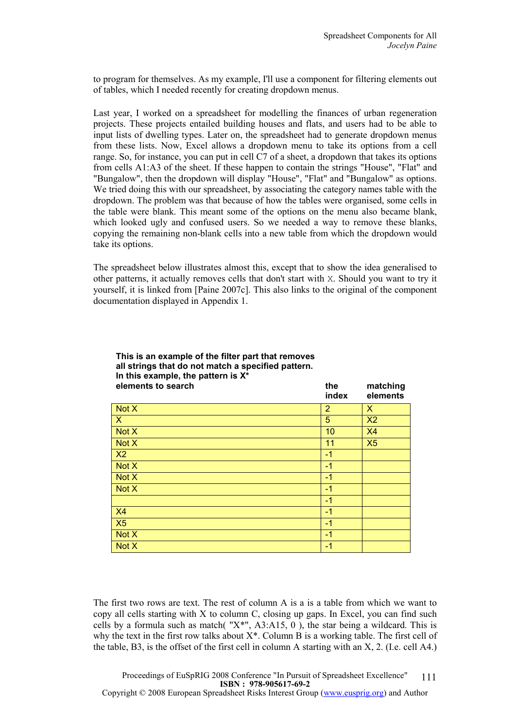to program for themselves. As my example, I'll use a component for filtering elements out of tables, which I needed recently for creating dropdown menus.

Last year, I worked on a spreadsheet for modelling the finances of urban regeneration projects. These projects entailed building houses and flats, and users had to be able to input lists of dwelling types. Later on, the spreadsheet had to generate dropdown menus from these lists. Now, Excel allows a dropdown menu to take its options from a cell range. So, for instance, you can put in cell C7 of a sheet, a dropdown that takes its options from cells A1:A3 of the sheet. If these happen to contain the strings "House", "Flat" and "Bungalow", then the dropdown will display "House", "Flat" and "Bungalow" as options. We tried doing this with our spreadsheet, by associating the category names table with the dropdown. The problem was that because of how the tables were organised, some cells in the table were blank. This meant some of the options on the menu also became blank, which looked ugly and confused users. So we needed a way to remove these blanks, copying the remaining non-blank cells into a new table from which the dropdown would take its options.

The spreadsheet below illustrates almost this, except that to show the idea generalised to other patterns, it actually removes cells that don't start with X. Should you want to try it yourself, it is linked from [Paine 2007c]. This also links to the original of the component documentation displayed in Appendix 1.

| elements to search | the<br>index   | matching<br>elements |
|--------------------|----------------|----------------------|
| Not X              | $\overline{2}$ | X                    |
| $\mathsf{X}$       | 5              | X <sub>2</sub>       |
| Not X              | 10             | <b>X4</b>            |
| Not X              | 11             | X5                   |
| X <sub>2</sub>     | $-1$           |                      |
| Not X              | $-1$           |                      |
| Not X              | $-1$           |                      |
| Not X              | $-1$           |                      |
|                    | $-1$           |                      |
| X4                 | $-1$           |                      |
| X5                 | $-1$           |                      |
| Not X              | $-1$           |                      |
| Not X              | $-1$           |                      |

The first two rows are text. The rest of column A is a is a table from which we want to copy all cells starting with X to column C, closing up gaps. In Excel, you can find such cells by a formula such as match( $"X^*"$ , A3:A15, 0), the star being a wildcard. This is why the text in the first row talks about  $X^*$ . Column B is a working table. The first cell of the table, B3, is the offset of the first cell in column A starting with an X, 2. (I.e. cell A4.)

## This is an example of the filter part that removes all strings that do not match a specified pattern. In this example, the pattern is  $X^*$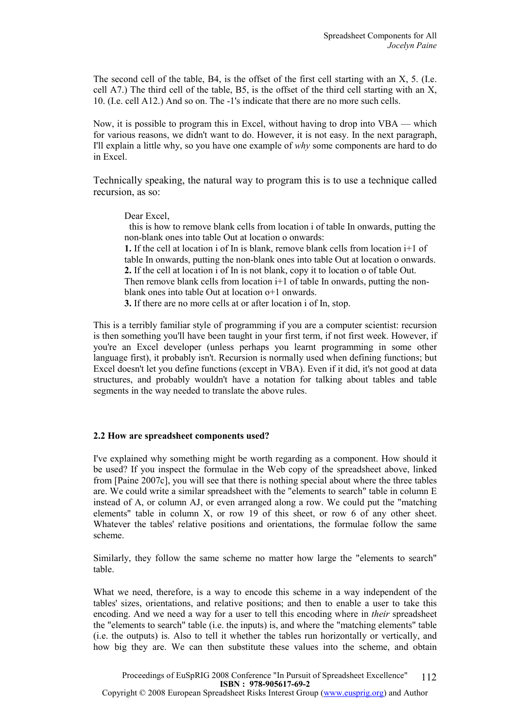The second cell of the table, B4, is the offset of the first cell starting with an X, 5. (I.e. cell A7.) The third cell of the table, B5, is the offset of the third cell starting with an X, 10. (I.e. cell A12.) And so on. The -1's indicate that there are no more such cells.

Now, it is possible to program this in Excel, without having to drop into VBA — which for various reasons, we didn't want to do. However, it is not easy. In the next paragraph, I'll explain a little why, so you have one example of why some components are hard to do in Excel.

Technically speaking, the natural way to program this is to use a technique called recursion, as so:

Dear Excel,

 this is how to remove blank cells from location i of table In onwards, putting the non-blank ones into table Out at location o onwards:

1. If the cell at location i of In is blank, remove blank cells from location i+1 of table In onwards, putting the non-blank ones into table Out at location o onwards. 2. If the cell at location i of In is not blank, copy it to location o of table Out. Then remove blank cells from location i<sup>+1</sup> of table In onwards, putting the nonblank ones into table Out at location o+1 onwards.

3. If there are no more cells at or after location i of In, stop.

This is a terribly familiar style of programming if you are a computer scientist: recursion is then something you'll have been taught in your first term, if not first week. However, if you're an Excel developer (unless perhaps you learnt programming in some other language first), it probably isn't. Recursion is normally used when defining functions; but Excel doesn't let you define functions (except in VBA). Even if it did, it's not good at data structures, and probably wouldn't have a notation for talking about tables and table segments in the way needed to translate the above rules.

#### 2.2 How are spreadsheet components used?

I've explained why something might be worth regarding as a component. How should it be used? If you inspect the formulae in the Web copy of the spreadsheet above, linked from [Paine 2007c], you will see that there is nothing special about where the three tables are. We could write a similar spreadsheet with the "elements to search" table in column E instead of A, or column AJ, or even arranged along a row. We could put the "matching elements" table in column X, or row 19 of this sheet, or row 6 of any other sheet. Whatever the tables' relative positions and orientations, the formulae follow the same scheme.

Similarly, they follow the same scheme no matter how large the "elements to search" table.

What we need, therefore, is a way to encode this scheme in a way independent of the tables' sizes, orientations, and relative positions; and then to enable a user to take this encoding. And we need a way for a user to tell this encoding where in *their* spreadsheet the "elements to search" table (i.e. the inputs) is, and where the "matching elements" table (i.e. the outputs) is. Also to tell it whether the tables run horizontally or vertically, and how big they are. We can then substitute these values into the scheme, and obtain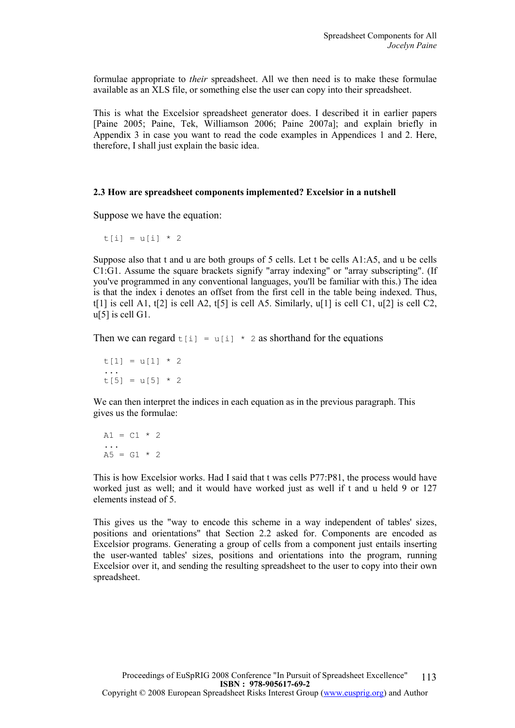formulae appropriate to their spreadsheet. All we then need is to make these formulae available as an XLS file, or something else the user can copy into their spreadsheet.

This is what the Excelsior spreadsheet generator does. I described it in earlier papers [Paine 2005; Paine, Tek, Williamson 2006; Paine 2007a]; and explain briefly in Appendix 3 in case you want to read the code examples in Appendices 1 and 2. Here, therefore, I shall just explain the basic idea.

#### 2.3 How are spreadsheet components implemented? Excelsior in a nutshell

Suppose we have the equation:

t[i] = u[i]  $*$  2

Suppose also that t and u are both groups of 5 cells. Let t be cells A1:A5, and u be cells C1:G1. Assume the square brackets signify "array indexing" or "array subscripting". (If you've programmed in any conventional languages, you'll be familiar with this.) The idea is that the index i denotes an offset from the first cell in the table being indexed. Thus, t[1] is cell A1, t[2] is cell A2, t[5] is cell A5. Similarly,  $u[1]$  is cell C1,  $u[2]$  is cell C2, u[5] is cell G1.

Then we can regard  $t[i] = u[i] * 2$  as shorthand for the equations

 $t[1] = u[1] * 2$  ...  $t[5] = u[5] * 2$ 

We can then interpret the indices in each equation as in the previous paragraph. This gives us the formulae:

 $A1 = C1 * 2$  ...  $A5 = G1 * 2$ 

This is how Excelsior works. Had I said that t was cells P77:P81, the process would have worked just as well; and it would have worked just as well if t and u held 9 or 127 elements instead of 5.

This gives us the "way to encode this scheme in a way independent of tables' sizes, positions and orientations" that Section 2.2 asked for. Components are encoded as Excelsior programs. Generating a group of cells from a component just entails inserting the user-wanted tables' sizes, positions and orientations into the program, running Excelsior over it, and sending the resulting spreadsheet to the user to copy into their own spreadsheet.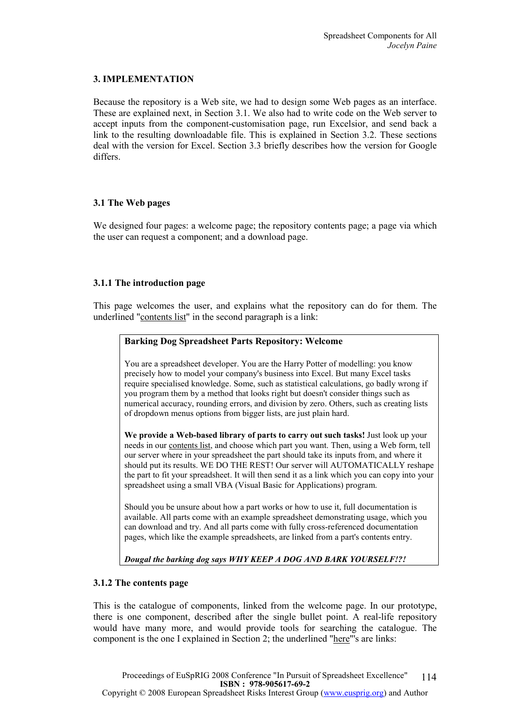## 3. IMPLEMENTATION

Because the repository is a Web site, we had to design some Web pages as an interface. These are explained next, in Section 3.1. We also had to write code on the Web server to accept inputs from the component-customisation page, run Excelsior, and send back a link to the resulting downloadable file. This is explained in Section 3.2. These sections deal with the version for Excel. Section 3.3 briefly describes how the version for Google differs.

#### 3.1 The Web pages

We designed four pages: a welcome page; the repository contents page; a page via which the user can request a component; and a download page.

## 3.1.1 The introduction page

This page welcomes the user, and explains what the repository can do for them. The underlined "contents list" in the second paragraph is a link:

#### Barking Dog Spreadsheet Parts Repository: Welcome

You are a spreadsheet developer. You are the Harry Potter of modelling: you know precisely how to model your company's business into Excel. But many Excel tasks require specialised knowledge. Some, such as statistical calculations, go badly wrong if you program them by a method that looks right but doesn't consider things such as numerical accuracy, rounding errors, and division by zero. Others, such as creating lists of dropdown menus options from bigger lists, are just plain hard.

We provide a Web-based library of parts to carry out such tasks! Just look up your needs in our contents list, and choose which part you want. Then, using a Web form, tell our server where in your spreadsheet the part should take its inputs from, and where it should put its results. WE DO THE REST! Our server will AUTOMATICALLY reshape the part to fit your spreadsheet. It will then send it as a link which you can copy into your spreadsheet using a small VBA (Visual Basic for Applications) program.

Should you be unsure about how a part works or how to use it, full documentation is available. All parts come with an example spreadsheet demonstrating usage, which you can download and try. And all parts come with fully cross-referenced documentation pages, which like the example spreadsheets, are linked from a part's contents entry.

Dougal the barking dog says WHY KEEP A DOG AND BARK YOURSELF!?!

#### 3.1.2 The contents page

This is the catalogue of components, linked from the welcome page. In our prototype, there is one component, described after the single bullet point. A real-life repository would have many more, and would provide tools for searching the catalogue. The component is the one I explained in Section 2; the underlined "here"'s are links: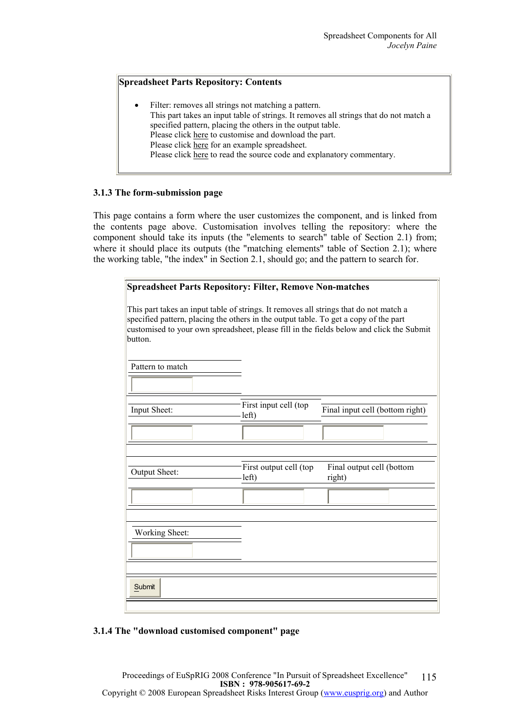## Spreadsheet Parts Repository: Contents

Filter: removes all strings not matching a pattern. This part takes an input table of strings. It removes all strings that do not match a specified pattern, placing the others in the output table. Please click here to customise and download the part. Please click here for an example spreadsheet. Please click here to read the source code and explanatory commentary.

## 3.1.3 The form-submission page

This page contains a form where the user customizes the component, and is linked from the contents page above. Customisation involves telling the repository: where the component should take its inputs (the "elements to search" table of Section 2.1) from; where it should place its outputs (the "matching elements" table of Section 2.1); where the working table, "the index" in Section 2.1, should go; and the pattern to search for.

| <b>Spreadsheet Parts Repository: Filter, Remove Non-matches</b>                                                                                                                          |                                 |                                                                                          |  |
|------------------------------------------------------------------------------------------------------------------------------------------------------------------------------------------|---------------------------------|------------------------------------------------------------------------------------------|--|
| This part takes an input table of strings. It removes all strings that do not match a<br>specified pattern, placing the others in the output table. To get a copy of the part<br>button. |                                 | customised to your own spreadsheet, please fill in the fields below and click the Submit |  |
| Pattern to match                                                                                                                                                                         |                                 |                                                                                          |  |
|                                                                                                                                                                                          |                                 |                                                                                          |  |
| Input Sheet:                                                                                                                                                                             | First input cell (top<br>left)  | Final input cell (bottom right)                                                          |  |
|                                                                                                                                                                                          |                                 |                                                                                          |  |
|                                                                                                                                                                                          |                                 |                                                                                          |  |
| Output Sheet:                                                                                                                                                                            | First output cell (top<br>left) | Final output cell (bottom<br>right)                                                      |  |
|                                                                                                                                                                                          |                                 |                                                                                          |  |
|                                                                                                                                                                                          |                                 |                                                                                          |  |
| Working Sheet:                                                                                                                                                                           |                                 |                                                                                          |  |
|                                                                                                                                                                                          |                                 |                                                                                          |  |
|                                                                                                                                                                                          |                                 |                                                                                          |  |
| Submit                                                                                                                                                                                   |                                 |                                                                                          |  |
|                                                                                                                                                                                          |                                 |                                                                                          |  |

#### 3.1.4 The "download customised component" page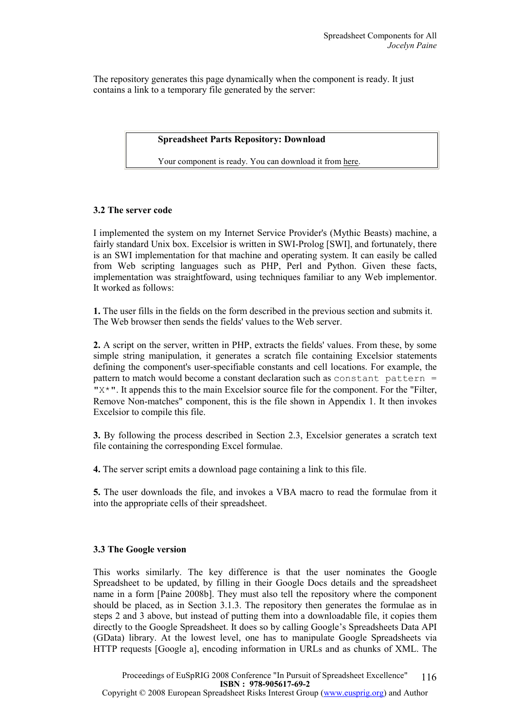The repository generates this page dynamically when the component is ready. It just contains a link to a temporary file generated by the server:

#### Spreadsheet Parts Repository: Download

Your component is ready. You can download it from here.

## 3.2 The server code

I implemented the system on my Internet Service Provider's (Mythic Beasts) machine, a fairly standard Unix box. Excelsior is written in SWI-Prolog [SWI], and fortunately, there is an SWI implementation for that machine and operating system. It can easily be called from Web scripting languages such as PHP, Perl and Python. Given these facts, implementation was straightfoward, using techniques familiar to any Web implementor. It worked as follows:

1. The user fills in the fields on the form described in the previous section and submits it. The Web browser then sends the fields' values to the Web server.

2. A script on the server, written in PHP, extracts the fields' values. From these, by some simple string manipulation, it generates a scratch file containing Excelsior statements defining the component's user-specifiable constants and cell locations. For example, the pattern to match would become a constant declaration such as constant pattern  $=$ " $X^*$ ". It appends this to the main Excelsior source file for the component. For the "Filter, Remove Non-matches" component, this is the file shown in Appendix 1. It then invokes Excelsior to compile this file.

3. By following the process described in Section 2.3, Excelsior generates a scratch text file containing the corresponding Excel formulae.

4. The server script emits a download page containing a link to this file.

5. The user downloads the file, and invokes a VBA macro to read the formulae from it into the appropriate cells of their spreadsheet.

#### 3.3 The Google version

This works similarly. The key difference is that the user nominates the Google Spreadsheet to be updated, by filling in their Google Docs details and the spreadsheet name in a form [Paine 2008b]. They must also tell the repository where the component should be placed, as in Section 3.1.3. The repository then generates the formulae as in steps 2 and 3 above, but instead of putting them into a downloadable file, it copies them directly to the Google Spreadsheet. It does so by calling Google's Spreadsheets Data API (GData) library. At the lowest level, one has to manipulate Google Spreadsheets via HTTP requests [Google a], encoding information in URLs and as chunks of XML. The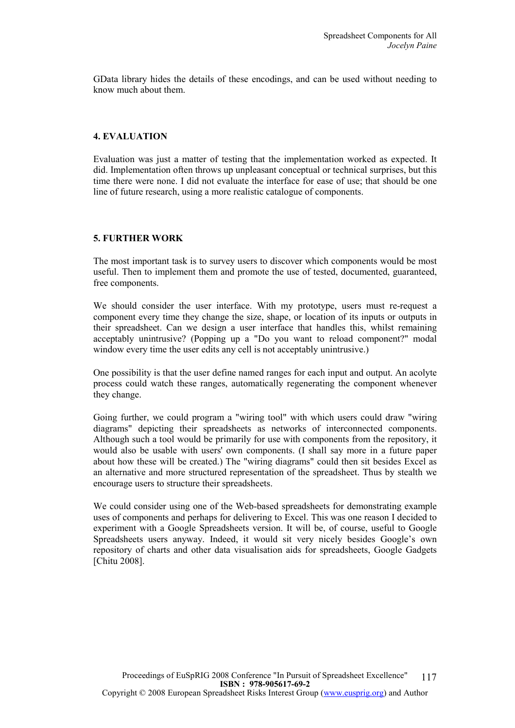GData library hides the details of these encodings, and can be used without needing to know much about them.

## 4. EVALUATION

Evaluation was just a matter of testing that the implementation worked as expected. It did. Implementation often throws up unpleasant conceptual or technical surprises, but this time there were none. I did not evaluate the interface for ease of use; that should be one line of future research, using a more realistic catalogue of components.

## 5. FURTHER WORK

The most important task is to survey users to discover which components would be most useful. Then to implement them and promote the use of tested, documented, guaranteed, free components.

We should consider the user interface. With my prototype, users must re-request a component every time they change the size, shape, or location of its inputs or outputs in their spreadsheet. Can we design a user interface that handles this, whilst remaining acceptably unintrusive? (Popping up a "Do you want to reload component?" modal window every time the user edits any cell is not acceptably unintrusive.)

One possibility is that the user define named ranges for each input and output. An acolyte process could watch these ranges, automatically regenerating the component whenever they change.

Going further, we could program a "wiring tool" with which users could draw "wiring diagrams" depicting their spreadsheets as networks of interconnected components. Although such a tool would be primarily for use with components from the repository, it would also be usable with users' own components. (I shall say more in a future paper about how these will be created.) The "wiring diagrams" could then sit besides Excel as an alternative and more structured representation of the spreadsheet. Thus by stealth we encourage users to structure their spreadsheets.

We could consider using one of the Web-based spreadsheets for demonstrating example uses of components and perhaps for delivering to Excel. This was one reason I decided to experiment with a Google Spreadsheets version. It will be, of course, useful to Google Spreadsheets users anyway. Indeed, it would sit very nicely besides Google's own repository of charts and other data visualisation aids for spreadsheets, Google Gadgets [Chitu 2008].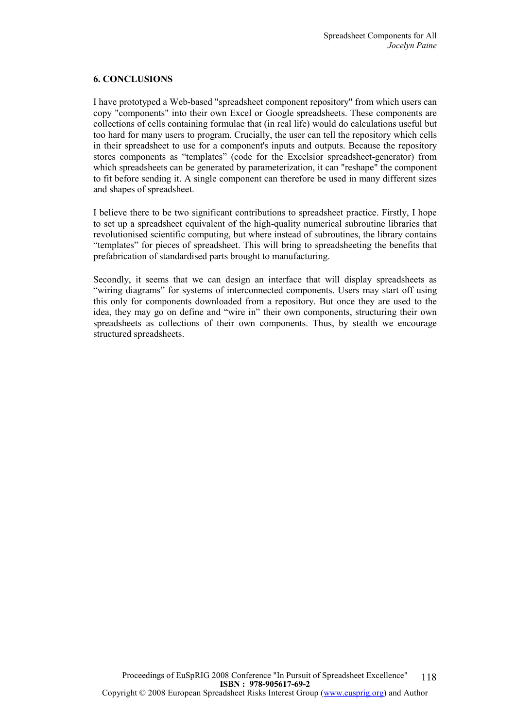## 6. CONCLUSIONS

I have prototyped a Web-based "spreadsheet component repository" from which users can copy "components" into their own Excel or Google spreadsheets. These components are collections of cells containing formulae that (in real life) would do calculations useful but too hard for many users to program. Crucially, the user can tell the repository which cells in their spreadsheet to use for a component's inputs and outputs. Because the repository stores components as "templates" (code for the Excelsior spreadsheet-generator) from which spreadsheets can be generated by parameterization, it can "reshape" the component to fit before sending it. A single component can therefore be used in many different sizes and shapes of spreadsheet.

I believe there to be two significant contributions to spreadsheet practice. Firstly, I hope to set up a spreadsheet equivalent of the high-quality numerical subroutine libraries that revolutionised scientific computing, but where instead of subroutines, the library contains "templates" for pieces of spreadsheet. This will bring to spreadsheeting the benefits that prefabrication of standardised parts brought to manufacturing.

Secondly, it seems that we can design an interface that will display spreadsheets as "wiring diagrams" for systems of interconnected components. Users may start off using this only for components downloaded from a repository. But once they are used to the idea, they may go on define and "wire in" their own components, structuring their own spreadsheets as collections of their own components. Thus, by stealth we encourage structured spreadsheets.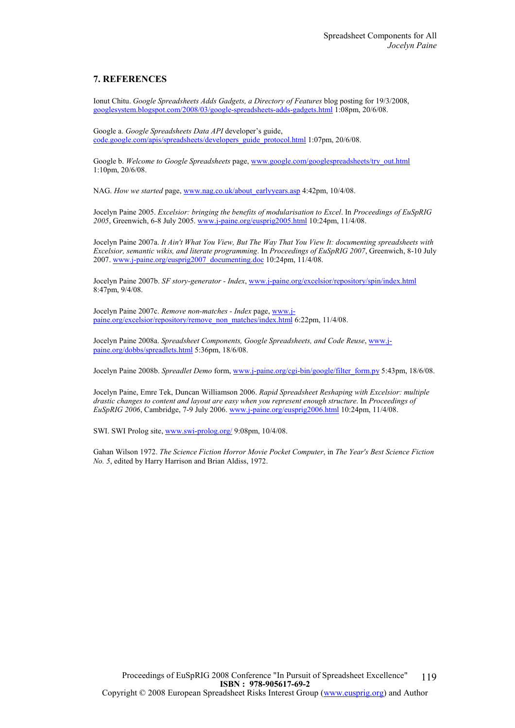#### 7. REFERENCES

Ionut Chitu. Google Spreadsheets Adds Gadgets, a Directory of Features blog posting for 19/3/2008, googlesystem.blogspot.com/2008/03/google-spreadsheets-adds-gadgets.html 1:08pm, 20/6/08.

Google a. Google Spreadsheets Data API developer's guide, code.google.com/apis/spreadsheets/developers\_guide\_protocol.html 1:07pm, 20/6/08.

Google b. Welcome to Google Spreadsheets page, www.google.com/googlespreadsheets/try\_out.html 1:10pm, 20/6/08.

NAG. How we started page, www.nag.co.uk/about\_earlyyears.asp 4:42pm, 10/4/08.

Jocelyn Paine 2005. Excelsior: bringing the benefits of modularisation to Excel. In Proceedings of EuSpRIG 2005, Greenwich, 6-8 July 2005. www.j-paine.org/eusprig2005.html 10:24pm, 11/4/08.

Jocelyn Paine 2007a. It Ain't What You View, But The Way That You View It: documenting spreadsheets with Excelsior, semantic wikis, and literate programming. In Proceedings of EuSpRIG 2007, Greenwich, 8-10 July 2007. www.j-paine.org/eusprig2007\_documenting.doc 10:24pm, 11/4/08.

Jocelyn Paine 2007b. SF story-generator - Index, www.j-paine.org/excelsior/repository/spin/index.html 8:47pm, 9/4/08.

Jocelyn Paine 2007c. Remove non-matches - Index page, www.jpaine.org/excelsior/repository/remove\_non\_matches/index.html 6:22pm, 11/4/08.

Jocelyn Paine 2008a. Spreadsheet Components, Google Spreadsheets, and Code Reuse, www.jpaine.org/dobbs/spreadlets.html 5:36pm, 18/6/08.

Jocelyn Paine 2008b. Spreadlet Demo form, www.j-paine.org/cgi-bin/google/filter\_form.py 5:43pm, 18/6/08.

Jocelyn Paine, Emre Tek, Duncan Williamson 2006. Rapid Spreadsheet Reshaping with Excelsior: multiple drastic changes to content and layout are easy when you represent enough structure. In Proceedings of EuSpRIG 2006, Cambridge, 7-9 July 2006. www.j-paine.org/eusprig2006.html 10:24pm, 11/4/08.

SWI. SWI Prolog site, www.swi-prolog.org/ 9:08pm, 10/4/08.

Gahan Wilson 1972. The Science Fiction Horror Movie Pocket Computer, in The Year's Best Science Fiction No. 5, edited by Harry Harrison and Brian Aldiss, 1972.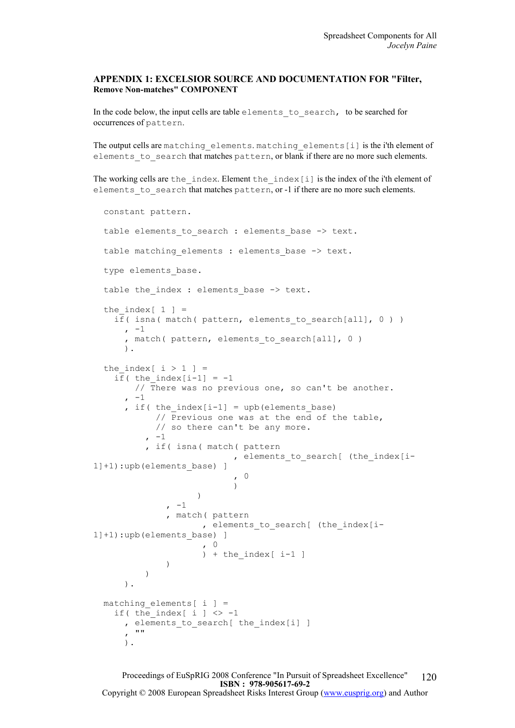#### APPENDIX 1: EXCELSIOR SOURCE AND DOCUMENTATION FOR "Filter, Remove Non-matches" COMPONENT

In the code below, the input cells are table elements to search, to be searched for occurrences of pattern.

The output cells are matching elements. matching elements[i] is the i'th element of elements to search that matches pattern, or blank if there are no more such elements.

The working cells are the  $index$ . Element the  $index[i]$  is the index of the i'th element of elements to search that matches pattern, or -1 if there are no more such elements.

```
 constant pattern. 
  table elements to search : elements base -> text.
  table matching elements : elements base -> text.
  type elements base.
  table the index : elements base -> text.
  the index [ 1 ] =if( isna( match( pattern, elements to search[all], 0 ) )
     , -1, match( pattern, elements to search[all], 0 )
      ). 
  the index [i > 1 ] =if( the index[i-1] = -1// There was no previous one, so can't be another.
       -1, if( the index[i-1] = upb(elements base)
             // Previous one was at the end of the table, 
            // so there can't be any more. 
           -1 , if( isna( match( pattern 
                           , elements to search[ (the index[i-
1]+1):upb(elements base) ]
                           \begin{pmatrix} 0 \\ 1 \end{pmatrix} ) 
 ) 
               -1 , match( pattern 
                     , elements to search[ (the index[i-
1]+1):upb(elements base) ]
                      , 0 
             ) + the_index[ i-1 ]
 ) 
 ) 
      ). 
 matching elements[i] =
    if( the index[ i ] \langle \rangle -1
      , elements to search[ the index[i] ]
      \frac{1}{2} ""
      ).
```
Proceedings of EuSpRIG 2008 Conference "In Pursuit of Spreadsheet Excellence" ISBN : 978-905617-69-2 Copyright © 2008 European Spreadsheet Risks Interest Group (www.eusprig.org) and Author 120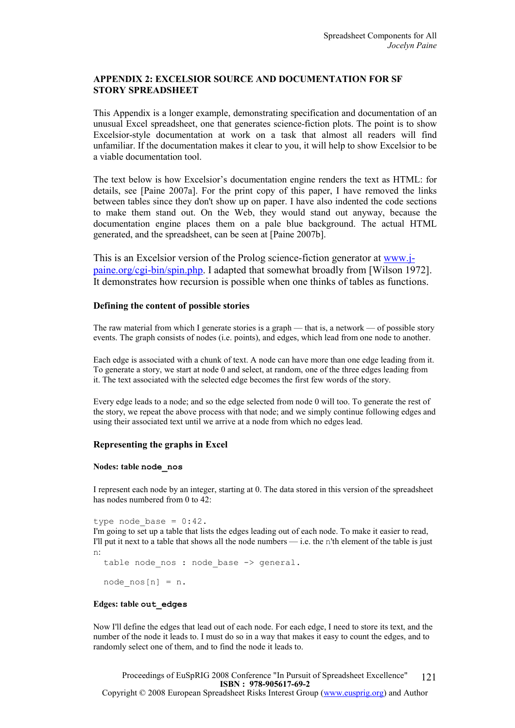## APPENDIX 2: EXCELSIOR SOURCE AND DOCUMENTATION FOR SF STORY SPREADSHEET

This Appendix is a longer example, demonstrating specification and documentation of an unusual Excel spreadsheet, one that generates science-fiction plots. The point is to show Excelsior-style documentation at work on a task that almost all readers will find unfamiliar. If the documentation makes it clear to you, it will help to show Excelsior to be a viable documentation tool.

The text below is how Excelsior's documentation engine renders the text as HTML: for details, see [Paine 2007a]. For the print copy of this paper, I have removed the links between tables since they don't show up on paper. I have also indented the code sections to make them stand out. On the Web, they would stand out anyway, because the documentation engine places them on a pale blue background. The actual HTML generated, and the spreadsheet, can be seen at [Paine 2007b].

This is an Excelsior version of the Prolog science-fiction generator at www.jpaine.org/cgi-bin/spin.php. I adapted that somewhat broadly from [Wilson 1972]. It demonstrates how recursion is possible when one thinks of tables as functions.

#### Defining the content of possible stories

The raw material from which I generate stories is a graph — that is, a network — of possible story events. The graph consists of nodes (i.e. points), and edges, which lead from one node to another.

Each edge is associated with a chunk of text. A node can have more than one edge leading from it. To generate a story, we start at node 0 and select, at random, one of the three edges leading from it. The text associated with the selected edge becomes the first few words of the story.

Every edge leads to a node; and so the edge selected from node 0 will too. To generate the rest of the story, we repeat the above process with that node; and we simply continue following edges and using their associated text until we arrive at a node from which no edges lead.

#### Representing the graphs in Excel

#### Nodes: table node\_nos

I represent each node by an integer, starting at 0. The data stored in this version of the spreadsheet has nodes numbered from 0 to 42:

type node base =  $0:42$ . I'm going to set up a table that lists the edges leading out of each node. To make it easier to read, I'll put it next to a table that shows all the node numbers — i.e. the n'th element of the table is just n:

```
table node nos : node base -> general.
```

```
node nos[n] = n.
```
#### Edges: table out\_edges

Now I'll define the edges that lead out of each node. For each edge, I need to store its text, and the number of the node it leads to. I must do so in a way that makes it easy to count the edges, and to randomly select one of them, and to find the node it leads to.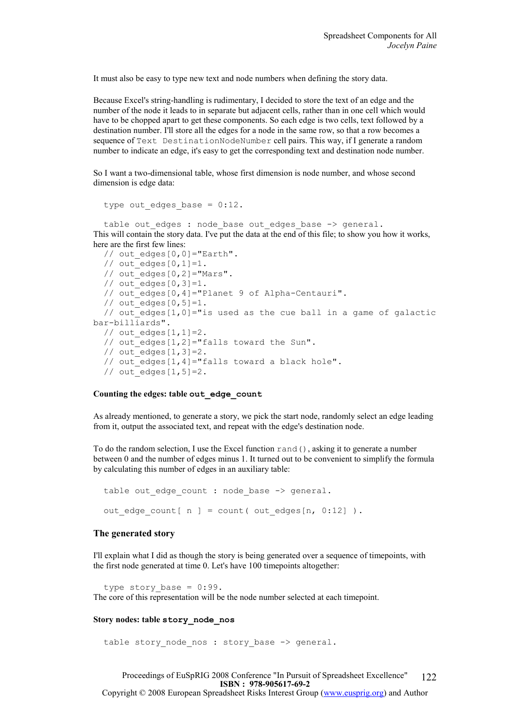It must also be easy to type new text and node numbers when defining the story data.

Because Excel's string-handling is rudimentary, I decided to store the text of an edge and the number of the node it leads to in separate but adjacent cells, rather than in one cell which would have to be chopped apart to get these components. So each edge is two cells, text followed by a destination number. I'll store all the edges for a node in the same row, so that a row becomes a sequence of Text DestinationNodeNumber cell pairs. This way, if I generate a random number to indicate an edge, it's easy to get the corresponding text and destination node number.

So I want a two-dimensional table, whose first dimension is node number, and whose second dimension is edge data:

```
type out edges base = 0:12.
```
table out edges : node base out edges base -> general. This will contain the story data. I've put the data at the end of this file; to show you how it works, here are the first few lines:

```
// out edges[0,0]="Earth".
  // out^-edges[0,1]=1.
  // out edges[0,2]="Mars".
  // out\_edges[0,3]=1.
   // out_edges[0,4]="Planet 9 of Alpha-Centauri". 
 // out^-edges[0,5]=1.
 // out edges[1,0]="is used as the cue ball in a game of galactic
bar-billiards". 
 // out edges [1, 1]=2.
  // out_edges[1,2]="falls toward the Sun". 
 // out\_edges[1,3]=2.// out edges[1,4]="falls toward a black hole".
  // out^-edges[1,5]=2.
```
#### Counting the edges: table out\_edge\_count

As already mentioned, to generate a story, we pick the start node, randomly select an edge leading from it, output the associated text, and repeat with the edge's destination node.

To do the random selection, I use the Excel function rand(), asking it to generate a number between 0 and the number of edges minus 1. It turned out to be convenient to simplify the formula by calculating this number of edges in an auxiliary table:

```
table out edge count : node base -> general.
out edge count[ n ] = count( out edges[n, 0:12] ).
```
#### The generated story

I'll explain what I did as though the story is being generated over a sequence of timepoints, with the first node generated at time 0. Let's have 100 timepoints altogether:

type story base =  $0:99$ . The core of this representation will be the node number selected at each timepoint.

#### Story nodes: table story\_node\_nos

```
table story node nos : story base -> general.
```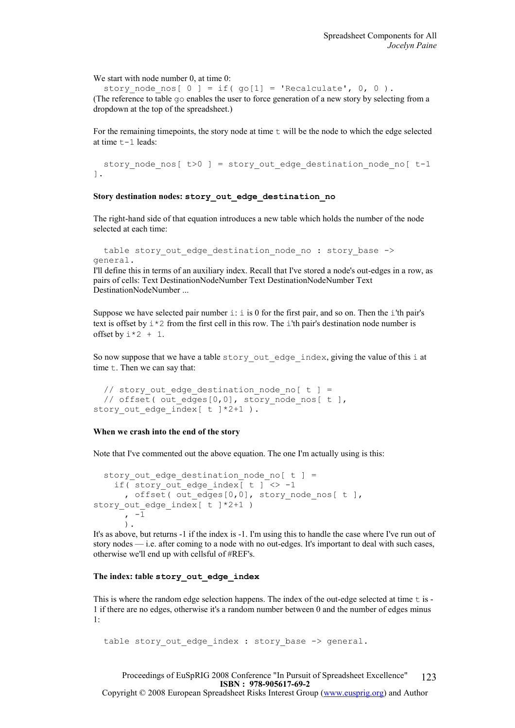We start with node number 0, at time 0:

story node nos[ 0 ] = if( go[1] = 'Recalculate', 0, 0 ). (The reference to table go enables the user to force generation of a new story by selecting from a dropdown at the top of the spreadsheet.)

For the remaining timepoints, the story node at time  $t$  will be the node to which the edge selected at time t-1 leads:

```
story node nos[ t>0 ] = story out edge destination node no[ t-1].
```
#### Story destination nodes: story\_out\_edge\_destination\_no

The right-hand side of that equation introduces a new table which holds the number of the node selected at each time:

```
table story out edge destination node no : story base ->
general.
```
I'll define this in terms of an auxiliary index. Recall that I've stored a node's out-edges in a row, as pairs of cells: Text DestinationNodeNumber Text DestinationNodeNumber Text DestinationNodeNumber ...

Suppose we have selected pair number  $\pm$ :  $\pm$  is 0 for the first pair, and so on. Then the  $\pm$ 'th pair's text is offset by  $\pm \times 2$  from the first cell in this row. The  $\pm$ 'th pair's destination node number is offset by  $i \times 2 + 1$ .

So now suppose that we have a table story\_out edge index, giving the value of this i at time  $t$ . Then we can say that:

```
// story out edge destination node no[ t ] =
  // offset( out edges[0,0], story node nos[ t ],
story out edge index [t \t +2+1).
```
#### When we crash into the end of the story

Note that I've commented out the above equation. The one I'm actually using is this:

```
story out edge destination node no[ t ] =
    if( story out edge index \left[t\right] t \left[2 \right] -1
      , offset( out edges[0,0], story node nos[ t ],
story out edge index[ t ]*2+1 )
       , -1 
        ).
```
It's as above, but returns -1 if the index is -1. I'm using this to handle the case where I've run out of story nodes — i.e. after coming to a node with no out-edges. It's important to deal with such cases, otherwise we'll end up with cellsful of #REF's.

#### The index: table story out edge index

This is where the random edge selection happens. The index of the out-edge selected at time t is - 1 if there are no edges, otherwise it's a random number between 0 and the number of edges minus 1:

table story out edge index : story base -> general.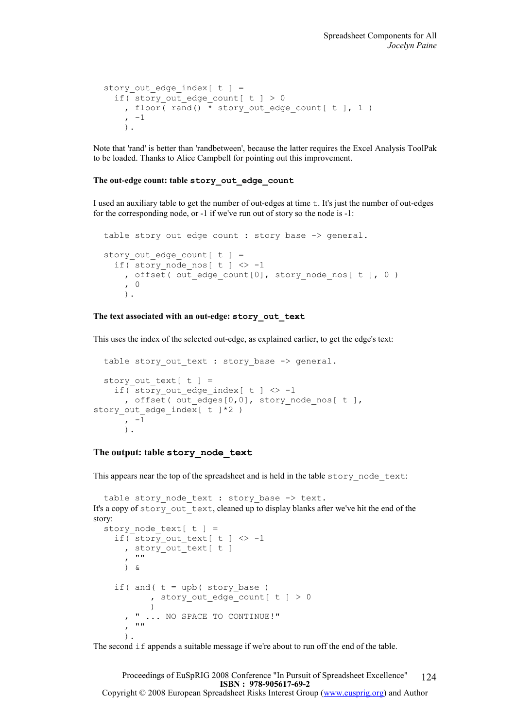```
story out edge index[t ] =
  if( story out edge count[ t ] > 0, floor(rand() \overline{\star} story out edge count[ t ], 1 )
    , -1 ).
```
Note that 'rand' is better than 'randbetween', because the latter requires the Excel Analysis ToolPak to be loaded. Thanks to Alice Campbell for pointing out this improvement.

#### The out-edge count: table story\_out\_edge\_count

I used an auxiliary table to get the number of out-edges at time t. It's just the number of out-edges for the corresponding node, or -1 if we've run out of story so the node is -1:

```
table story out edge count : story base -> general.
story out edge count [t] =if( story node nos[ t ] \le -1
    , offset( out edge count[0], story node nos[ t ], 0 )
     , 0 
     ).
```
#### The text associated with an out-edge: story out text

This uses the index of the selected out-edge, as explained earlier, to get the edge's text:

```
table story out text : story base -> general.
  story out text[ t ] =
    if( story out edge index[ t ] \langle \rangle -1
      , offset( out edges[0,0], story node nos[ t ],
story out edge index[ t ]*2 )
       , -1 
       ).
```
#### The output: table story\_node\_text

This appears near the top of the spreadsheet and is held in the table story node text:

```
table story node text : story base -> text.
It's a copy of story out text, cleaned up to display blanks after we've hit the end of the
story: 
  story node text[ t ] =
     if( story_out_text[ t ] <> -1 
      , story out text[ t ]
      , " ) & 
    if( and(t = upb( story_base)
             , story_out_edge_count[ t ] > 0 
 ) 
        " ... NO SPACE TO CONTINUE!"
, \mathbb{R}^n ).
```
The second if appends a suitable message if we're about to run off the end of the table.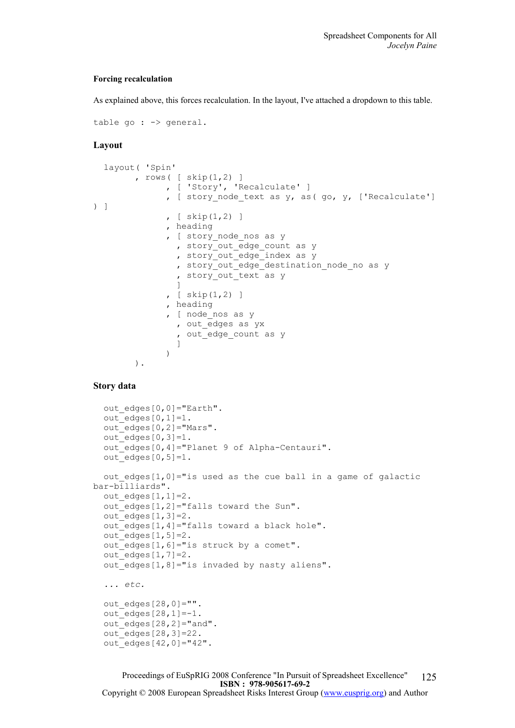#### Forcing recalculation

As explained above, this forces recalculation. In the layout, I've attached a dropdown to this table.

```
table go : - > general.
```
#### Layout

```
 layout( 'Spin' 
            , rows( \lceil skip(1,2) ]
                      , [ 'Story', 'Recalculate' ] 
                     , [ story node text as y, as( go, y, ['Recalculate']
) ] 
                      , [ skip(1,2) ] 
                      , heading 
                     , [ story node nos as y
                       , story out edge count as y
                        , story_out_edge_index as y 
                       , story out edge destination node no as y
                        , story out text as y
design and the control of the property of the state of the state of the state of the state of the state of the
                     , [ skip(1, 2) ]
                      , heading 
                     , [ node nos as y
                        , out_edges as yx 
                       , out edge count as y
design and the control of the property of the state of the state of the state of the state of the state of the
 ) 
            ).
```
#### Story data

```
out edges [0,0]="Earth".
  out edges[0,1]=1.
  out edges [0, 2] = "Mars".
  out edges[0,3]=1.
   out_edges[0,4]="Planet 9 of Alpha-Centauri". 
  out edges[0,5]=1.
  out edges[1,0]="is used as the cue ball in a game of galactic
bar-billiards". 
 out edges[1,1]=2.
  out edges[1,2]="falls toward the Sun".
  out edges[1,3]=2.
  out edges[1,4]="falls toward a black hole".
  out edges[1,5]=2.
  out edges[1,6]="is struck by a comet".
  out edges[1,7]=2.
  out edges[1,8]="is invaded by nasty aliens".
   ... etc. 
  out edges [28,0]=".
  out edges[28,1]=-1.
   out_edges[28,2]="and". 
  out edges [28,3]=22.
  out\_edges[42,0] = "42".
```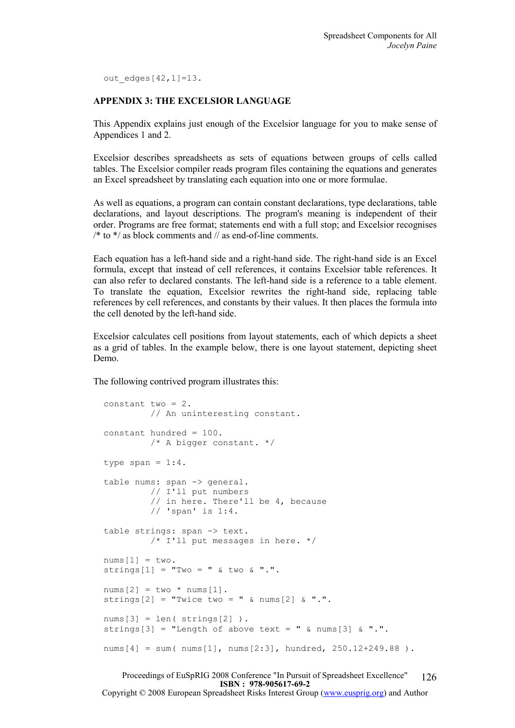out edges $[42,1]=13$ .

## APPENDIX 3: THE EXCELSIOR LANGUAGE

This Appendix explains just enough of the Excelsior language for you to make sense of Appendices 1 and 2.

Excelsior describes spreadsheets as sets of equations between groups of cells called tables. The Excelsior compiler reads program files containing the equations and generates an Excel spreadsheet by translating each equation into one or more formulae.

As well as equations, a program can contain constant declarations, type declarations, table declarations, and layout descriptions. The program's meaning is independent of their order. Programs are free format; statements end with a full stop; and Excelsior recognises  $/*$  to  $*/$  as block comments and  $//$  as end-of-line comments.

Each equation has a left-hand side and a right-hand side. The right-hand side is an Excel formula, except that instead of cell references, it contains Excelsior table references. It can also refer to declared constants. The left-hand side is a reference to a table element. To translate the equation, Excelsior rewrites the right-hand side, replacing table references by cell references, and constants by their values. It then places the formula into the cell denoted by the left-hand side.

Excelsior calculates cell positions from layout statements, each of which depicts a sheet as a grid of tables. In the example below, there is one layout statement, depicting sheet Demo.

The following contrived program illustrates this:

```
 constant two = 2. 
          // An uninteresting constant. 
 constant hundred = 100. 
          /* A bigger constant. */ 
type span = 1:4.
table nums: span -> general.
          // I'll put numbers 
          // in here. There'll be 4, because 
          // 'span' is 1:4. 
table strings: span -> text.
          /* I'll put messages in here. */ 
nums[1] = two.strings[1] = "Two = " & two &".nums[2] = two * nums[1].strings[2] = "Twice two = " & nums[2] & ".".
nums[3] = len( strings[2]).
strings[3] = "Length of above text = " & nums[3] & ".".
nums[4] = sum(nums[1], nums[2:3], hundred, 250.12+249.88).
```
Proceedings of EuSpRIG 2008 Conference "In Pursuit of Spreadsheet Excellence" ISBN : 978-905617-69-2 Copyright © 2008 European Spreadsheet Risks Interest Group (www.eusprig.org) and Author 126